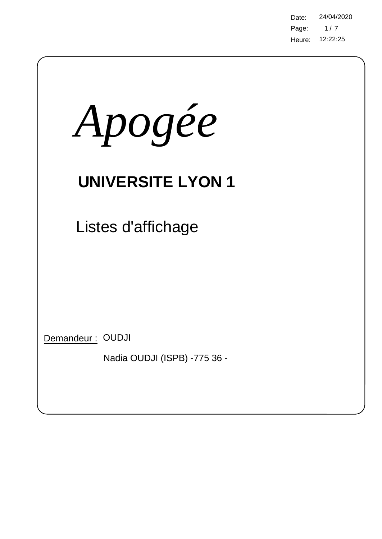Page: Heure: 12:22:25 Date: 24/04/2020  $1/7$ 

| Apogée                                           |
|--------------------------------------------------|
| <b>UNIVERSITE LYON 1</b>                         |
| Listes d'affichage                               |
| Demandeur: OUDJI<br>Nadia OUDJI (ISPB) -775 36 - |

 $\bigg)$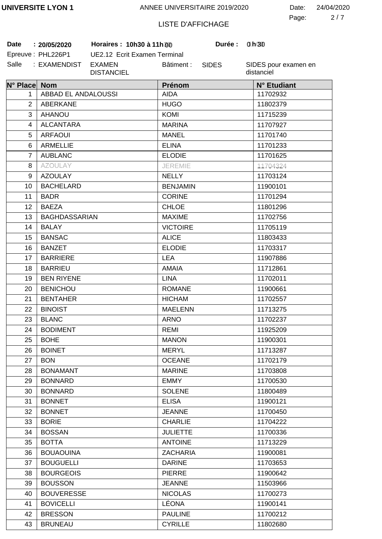2 7 Page: Date: 24/04/2020

# LISTE D'AFFICHAGE

**Date 20/05/2020 Horaires : 10h30 à 11h30 Durée : 1h00**

| Date | : 20/05/2020      |
|------|-------------------|
|      | Epreuve: PHL226P1 |

UE2.12 Ecrit Examen Terminal Salle : EXAMENDIST EXAMEN DISTANCIEL Bâtiment :

SIDES

**Durée:** 

| N° Place Nom   |                      | Prénom          | N° Etudiant |
|----------------|----------------------|-----------------|-------------|
| 1              | ABBAD EL ANDALOUSSI  | <b>AIDA</b>     | 11702932    |
| 2              | <b>ABERKANE</b>      | <b>HUGO</b>     | 11802379    |
| 3              | <b>AHANOU</b>        | <b>KOMI</b>     | 11715239    |
| 4              | <b>ALCANTARA</b>     | <b>MARINA</b>   | 11707927    |
| 5              | <b>ARFAOUI</b>       | <b>MANEL</b>    | 11701740    |
| 6              | <b>ARMELLIE</b>      | <b>ELINA</b>    | 11701233    |
| $\overline{7}$ | <b>AUBLANC</b>       | <b>ELODIE</b>   | 11701625    |
| 8              | <b>AZOULAY</b>       | <b>JEREMIE</b>  | 11704324    |
| 9              | <b>AZOULAY</b>       | <b>NELLY</b>    | 11703124    |
| 10             | <b>BACHELARD</b>     | <b>BENJAMIN</b> | 11900101    |
| 11             | <b>BADR</b>          | <b>CORINE</b>   | 11701294    |
| 12             | <b>BAEZA</b>         | <b>CHLOE</b>    | 11801296    |
| 13             | <b>BAGHDASSARIAN</b> | <b>MAXIME</b>   | 11702756    |
| 14             | <b>BALAY</b>         | <b>VICTOIRE</b> | 11705119    |
| 15             | <b>BANSAC</b>        | <b>ALICE</b>    | 11803433    |
| 16             | <b>BANZET</b>        | <b>ELODIE</b>   | 11703317    |
| 17             | <b>BARRIERE</b>      | <b>LEA</b>      | 11907886    |
| 18             | <b>BARRIEU</b>       | <b>AMAIA</b>    | 11712861    |
| 19             | <b>BEN RIYENE</b>    | <b>LINA</b>     | 11702011    |
| 20             | <b>BENICHOU</b>      | <b>ROMANE</b>   | 11900661    |
| 21             | <b>BENTAHER</b>      | <b>HICHAM</b>   | 11702557    |
| 22             | <b>BINOIST</b>       | <b>MAELENN</b>  | 11713275    |
| 23             | <b>BLANC</b>         | <b>ARNO</b>     | 11702237    |
| 24             | <b>BODIMENT</b>      | <b>REMI</b>     | 11925209    |
| 25             | <b>BOHE</b>          | <b>MANON</b>    | 11900301    |
| 26             | <b>BOINET</b>        | <b>MERYL</b>    | 11713287    |
| 27             | <b>BON</b>           | <b>OCEANE</b>   | 11702179    |
| 28             | <b>BONAMANT</b>      | <b>MARINE</b>   | 11703808    |
| 29             | <b>BONNARD</b>       | <b>EMMY</b>     | 11700530    |
| 30             | <b>BONNARD</b>       | <b>SOLENE</b>   | 11800489    |
| 31             | <b>BONNET</b>        | <b>ELISA</b>    | 11900121    |
| 32             | <b>BONNET</b>        | <b>JEANNE</b>   | 11700450    |
| 33             | <b>BORIE</b>         | <b>CHARLIE</b>  | 11704222    |
| 34             | <b>BOSSAN</b>        | <b>JULIETTE</b> | 11700336    |
| 35             | <b>BOTTA</b>         | <b>ANTOINE</b>  | 11713229    |
| 36             | <b>BOUAOUINA</b>     | <b>ZACHARIA</b> | 11900081    |
| 37             | <b>BOUGUELLI</b>     | <b>DARINE</b>   | 11703653    |
| 38             | <b>BOURGEOIS</b>     | <b>PIERRE</b>   | 11900642    |
| 39             | <b>BOUSSON</b>       | <b>JEANNE</b>   | 11503966    |
| 40             | <b>BOUVERESSE</b>    | <b>NICOLAS</b>  | 11700273    |
| 41             | <b>BOVICELLI</b>     | <b>LÉONA</b>    | 11900141    |
| 42             | <b>BRESSON</b>       | <b>PAULINE</b>  | 11700212    |
| 43             | <b>BRUNEAU</b>       | <b>CYRILLE</b>  | 11802680    |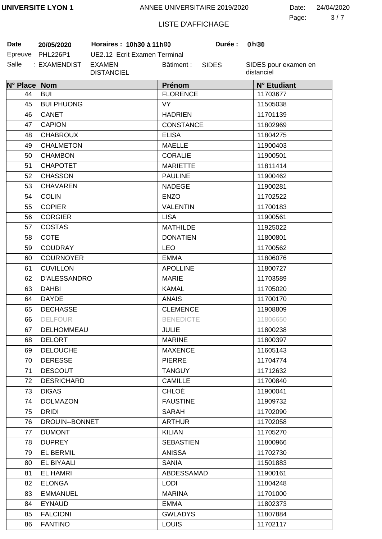3 7 Page: Date: 24/04/2020

# LISTE D'AFFICHAGE

**Date 20/05/2020 Horaires : 10h30 à 11h30 Durée : 1h00**

| Date    | 20/05/2020      |
|---------|-----------------|
| Epreuve | <b>PHL226P1</b> |
| Salle   | : EXAMENDIST    |

UE2.12 Ecrit Examen Terminal EXAMEN DISTANCIEL Bâtiment :

SIDES

**Durée:** 

| N° Place Nom |                   | <b>Prénom</b>    | N° Etudiant |
|--------------|-------------------|------------------|-------------|
| 44           | <b>BUI</b>        | <b>FLORENCE</b>  | 11703677    |
| 45           | <b>BUI PHUONG</b> | <b>VY</b>        | 11505038    |
| 46           | CANET             | <b>HADRIEN</b>   | 11701139    |
| 47           | <b>CAPION</b>     | <b>CONSTANCE</b> | 11802969    |
| 48           | <b>CHABROUX</b>   | <b>ELISA</b>     | 11804275    |
| 49           | <b>CHALMETON</b>  | <b>MAELLE</b>    | 11900403    |
| 50           | <b>CHAMBON</b>    | <b>CORALIE</b>   | 11900501    |
| 51           | <b>CHAPOTET</b>   | <b>MARIETTE</b>  | 11811414    |
| 52           | <b>CHASSON</b>    | <b>PAULINE</b>   | 11900462    |
| 53           | <b>CHAVAREN</b>   | <b>NADEGE</b>    | 11900281    |
| 54           | <b>COLIN</b>      | <b>ENZO</b>      | 11702522    |
| 55           | <b>COPIER</b>     | <b>VALENTIN</b>  | 11700183    |
| 56           | <b>CORGIER</b>    | <b>LISA</b>      | 11900561    |
| 57           | <b>COSTAS</b>     | <b>MATHILDE</b>  | 11925022    |
| 58           | <b>COTE</b>       | <b>DONATIEN</b>  | 11800801    |
| 59           | <b>COUDRAY</b>    | <b>LEO</b>       | 11700562    |
| 60           | <b>COURNOYER</b>  | <b>EMMA</b>      | 11806076    |
| 61           | <b>CUVILLON</b>   | <b>APOLLINE</b>  | 11800727    |
| 62           | D'ALESSANDRO      | <b>MARIE</b>     | 11703589    |
| 63           | <b>DAHBI</b>      | <b>KAMAL</b>     | 11705020    |
| 64           | <b>DAYDE</b>      | <b>ANAIS</b>     | 11700170    |
| 65           | <b>DECHASSE</b>   | <b>CLEMENCE</b>  | 11908809    |
| 66           | <b>DELFOUR</b>    | <b>BENEDICTE</b> | 11806650    |
| 67           | DELHOMMEAU        | <b>JULIE</b>     | 11800238    |
| 68           | <b>DELORT</b>     | <b>MARINE</b>    | 11800397    |
| 69           | <b>DELOUCHE</b>   | <b>MAXENCE</b>   | 11605143    |
| 70           | <b>DERESSE</b>    | <b>PIERRE</b>    | 11704774    |
| 71           | <b>DESCOUT</b>    | <b>TANGUY</b>    | 11712632    |
| 72           | <b>DESRICHARD</b> | <b>CAMILLE</b>   | 11700840    |
| 73           | <b>DIGAS</b>      | <b>CHLOÉ</b>     | 11900041    |
| 74           | <b>DOLMAZON</b>   | <b>FAUSTINE</b>  | 11909732    |
| 75           | <b>DRIDI</b>      | <b>SARAH</b>     | 11702090    |
| 76           | DROUIN--BONNET    | <b>ARTHUR</b>    | 11702058    |
| 77           | <b>DUMONT</b>     | <b>KILIAN</b>    | 11705270    |
| 78           | <b>DUPREY</b>     | <b>SEBASTIEN</b> | 11800966    |
| 79           | <b>EL BERMIL</b>  | <b>ANISSA</b>    | 11702730    |
| 80           | EL BIYAALI        | <b>SANIA</b>     | 11501883    |
| 81           | <b>EL HAMRI</b>   | ABDESSAMAD       | 11900161    |
| 82           | <b>ELONGA</b>     | <b>LODI</b>      | 11804248    |
| 83           | <b>EMMANUEL</b>   | <b>MARINA</b>    | 11701000    |
| 84           | <b>EYNAUD</b>     | <b>EMMA</b>      | 11802373    |
| 85           | <b>FALCIONI</b>   | <b>GWLADYS</b>   | 11807884    |
| 86           | <b>FANTINO</b>    | <b>LOUIS</b>     | 11702117    |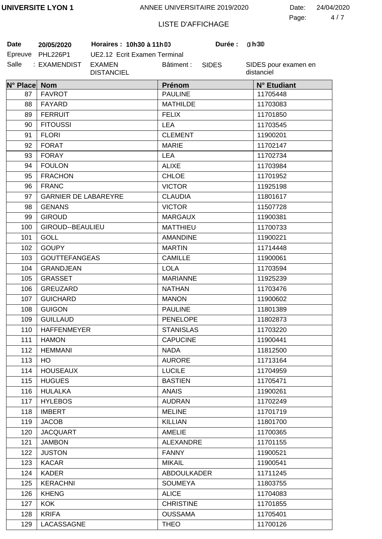4 7 Page: Date: 24/04/2020

# LISTE D'AFFICHAGE

| Date    | 20/05/2020      |
|---------|-----------------|
| Epreuve | <b>PHL226P1</b> |
| Salle   | : EXAMENDIST    |

UE2.12 Ecrit Examen Terminal EXAMEN DISTANCIEL Bâtiment :

 $B$  **Horaires : 10h30 à 11h90** 

SIDES

**0 0 30**

| N° Place Nom |                             | Prénom           | N° Etudiant |
|--------------|-----------------------------|------------------|-------------|
| 87           | <b>FAVROT</b>               | <b>PAULINE</b>   | 11705448    |
| 88           | FAYARD                      | <b>MATHILDE</b>  | 11703083    |
| 89           | <b>FERRUIT</b>              | <b>FELIX</b>     | 11701850    |
| 90           | <b>FITOUSSI</b>             | <b>LEA</b>       | 11703545    |
| 91           | <b>FLORI</b>                | <b>CLEMENT</b>   | 11900201    |
| 92           | <b>FORAT</b>                | <b>MARIE</b>     | 11702147    |
| 93           | <b>FORAY</b>                | <b>LEA</b>       | 11702734    |
| 94           | <b>FOULON</b>               | <b>ALIXE</b>     | 11703984    |
| 95           | <b>FRACHON</b>              | <b>CHLOE</b>     | 11701952    |
| 96           | <b>FRANC</b>                | <b>VICTOR</b>    | 11925198    |
| 97           | <b>GARNIER DE LABAREYRE</b> | <b>CLAUDIA</b>   | 11801617    |
| 98           | <b>GENANS</b>               | <b>VICTOR</b>    | 11507728    |
| 99           | <b>GIROUD</b>               | <b>MARGAUX</b>   | 11900381    |
| 100          | GIROUD--BEAULIEU            | <b>MATTHIEU</b>  | 11700733    |
| 101          | <b>GOLL</b>                 | <b>AMANDINE</b>  | 11900221    |
| 102          | <b>GOUPY</b>                | <b>MARTIN</b>    | 11714448    |
| 103          | <b>GOUTTEFANGEAS</b>        | <b>CAMILLE</b>   | 11900061    |
| 104          | <b>GRANDJEAN</b>            | <b>LOLA</b>      | 11703594    |
| 105          | <b>GRASSET</b>              | <b>MARIANNE</b>  | 11925239    |
| 106          | <b>GREUZARD</b>             | <b>NATHAN</b>    | 11703476    |
| 107          | <b>GUICHARD</b>             | <b>MANON</b>     | 11900602    |
| 108          | <b>GUIGON</b>               | <b>PAULINE</b>   | 11801389    |
| 109          | <b>GUILLAUD</b>             | <b>PENELOPE</b>  | 11802873    |
| 110          | <b>HAFFENMEYER</b>          | <b>STANISLAS</b> | 11703220    |
| 111          | <b>HAMON</b>                | <b>CAPUCINE</b>  | 11900441    |
| 112          | <b>HEMMANI</b>              | <b>NADA</b>      | 11812500    |
| 113          | HO.                         | <b>AURORE</b>    | 11713164    |
| 114          | <b>HOUSEAUX</b>             | <b>LUCILE</b>    | 11704959    |
| 115          | <b>HUGUES</b>               | <b>BASTIEN</b>   | 11705471    |
| 116          | <b>HULALKA</b>              | <b>ANAIS</b>     | 11900261    |
| 117          | <b>HYLEBOS</b>              | <b>AUDRAN</b>    | 11702249    |
| 118          | <b>IMBERT</b>               | <b>MELINE</b>    | 11701719    |
| 119          | <b>JACOB</b>                | <b>KILLIAN</b>   | 11801700    |
| 120          | <b>JACQUART</b>             | <b>AMELIE</b>    | 11700365    |
| 121          | <b>JAMBON</b>               | ALEXANDRE        | 11701155    |
| 122          | <b>JUSTON</b>               | <b>FANNY</b>     | 11900521    |
| 123          | <b>KACAR</b>                | <b>MIKAIL</b>    | 11900541    |
| 124          | <b>KADER</b>                | ABDOULKADER      | 11711245    |
| 125          | <b>KERACHNI</b>             | <b>SOUMEYA</b>   | 11803755    |
| 126          | <b>KHENG</b>                | <b>ALICE</b>     | 11704083    |
| 127          | <b>KOK</b>                  | <b>CHRISTINE</b> | 11701855    |
| 128          | <b>KRIFA</b>                | <b>OUSSAMA</b>   | 11705401    |
| 129          | LACASSAGNE                  | <b>THEO</b>      | 11700126    |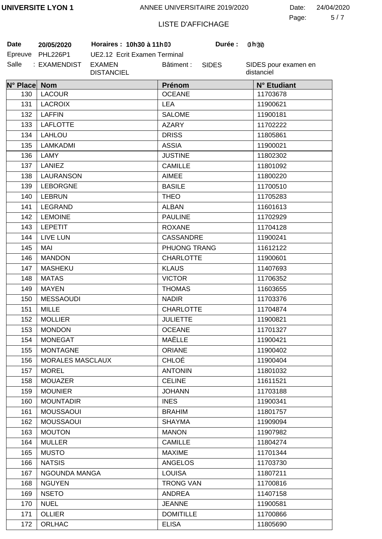5 7 Page: Date: 24/04/2020

# LISTE D'AFFICHAGE

**Date 20/05/2020 Horaires : 10h30 à 11h30 Durée : 1h00**

| Date    | 20/05/2020   |
|---------|--------------|
| Epreuve | PHL226P1     |
| Salle   | : EXAMENDIST |

UE2.12 Ecrit Examen Terminal EXAMEN DISTANCIEL Bâtiment :

SIDES

**Durée:** 

| N° Place Nom |                  | Prénom           | N° Etudiant |
|--------------|------------------|------------------|-------------|
| 130          | <b>LACOUR</b>    | <b>OCEANE</b>    | 11703678    |
| 131          | <b>LACROIX</b>   | <b>LEA</b>       | 11900621    |
| 132          | <b>LAFFIN</b>    | <b>SALOME</b>    | 11900181    |
| 133          | <b>LAFLOTTE</b>  | <b>AZARY</b>     | 11702222    |
| 134          | LAHLOU           | <b>DRISS</b>     | 11805861    |
| 135          | LAMKADMI         | <b>ASSIA</b>     | 11900021    |
| 136          | LAMY             | <b>JUSTINE</b>   | 11802302    |
| 137          | <b>LANIEZ</b>    | <b>CAMILLE</b>   | 11801092    |
| 138          | <b>LAURANSON</b> | <b>AIMEE</b>     | 11800220    |
| 139          | <b>LEBORGNE</b>  | <b>BASILE</b>    | 11700510    |
| 140          | <b>LEBRUN</b>    | <b>THEO</b>      | 11705283    |
| 141          | LEGRAND          | <b>ALBAN</b>     | 11601613    |
| 142          | <b>LEMOINE</b>   | <b>PAULINE</b>   | 11702929    |
| 143          | <b>LEPETIT</b>   | <b>ROXANE</b>    | 11704128    |
| 144          | LIVE LUN         | <b>CASSANDRE</b> | 11900241    |
| 145          | <b>MAI</b>       | PHUONG TRANG     | 11612122    |
| 146          | <b>MANDON</b>    | <b>CHARLOTTE</b> | 11900601    |
| 147          | <b>MASHEKU</b>   | <b>KLAUS</b>     | 11407693    |
| 148          | <b>MATAS</b>     | <b>VICTOR</b>    | 11706352    |
| 149          | <b>MAYEN</b>     | <b>THOMAS</b>    | 11603655    |
| 150          | <b>MESSAOUDI</b> | <b>NADIR</b>     | 11703376    |
| 151          | <b>MILLE</b>     | <b>CHARLOTTE</b> | 11704874    |
| 152          | <b>MOLLIER</b>   | <b>JULIETTE</b>  | 11900821    |
| 153          | <b>MONDON</b>    | <b>OCEANE</b>    | 11701327    |
| 154          | <b>MONEGAT</b>   | MAËLLE           | 11900421    |
| 155          | <b>MONTAGNE</b>  | <b>ORIANE</b>    | 11900402    |
| 156          | MORALES MASCLAUX | <b>CHLOÉ</b>     | 11900404    |
| 157          | <b>MOREL</b>     | <b>ANTONIN</b>   | 11801032    |
| 158          | <b>MOUAZER</b>   | <b>CELINE</b>    | 11611521    |
| 159          | <b>MOUNIER</b>   | <b>JOHANN</b>    | 11703188    |
| 160          | <b>MOUNTADIR</b> | <b>INES</b>      | 11900341    |
| 161          | <b>MOUSSAOUI</b> | <b>BRAHIM</b>    | 11801757    |
| 162          | <b>MOUSSAOUI</b> | <b>SHAYMA</b>    | 11909094    |
| 163          | <b>MOUTON</b>    | <b>MANON</b>     | 11907982    |
| 164          | <b>MULLER</b>    | <b>CAMILLE</b>   | 11804274    |
| 165          | <b>MUSTO</b>     | <b>MAXIME</b>    | 11701344    |
| 166          | <b>NATSIS</b>    | <b>ANGELOS</b>   | 11703730    |
| 167          | NGOUNDA MANGA    | <b>LOUISA</b>    | 11807211    |
| 168          | <b>NGUYEN</b>    | <b>TRONG VAN</b> | 11700816    |
| 169          | <b>NSETO</b>     | <b>ANDREA</b>    | 11407158    |
| 170          | <b>NUEL</b>      | <b>JEANNE</b>    | 11900581    |
| 171          | <b>OLLIER</b>    | <b>DOMITILLE</b> | 11700866    |
| 172          | <b>ORLHAC</b>    | <b>ELISA</b>     | 11805690    |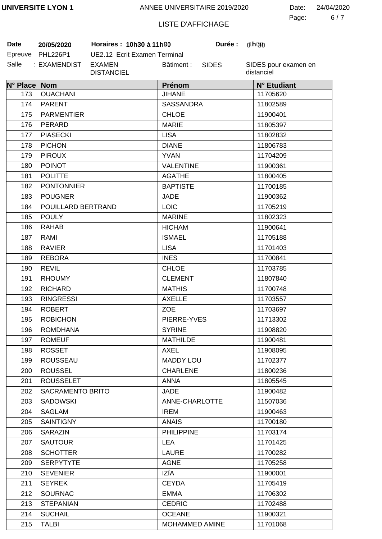6 7 Page: Date: 24/04/2020

# LISTE D'AFFICHAGE

| Date    | 20/05/2020      |
|---------|-----------------|
| Epreuve | <b>PHL226P1</b> |
| Salle   | : EXAMENDIST    |

UE2.12 Ecrit Examen Terminal EXAMEN DISTANCIEL Bâtiment :

 $B$  **Horaires : 10h30 à 11h90** 

SIDES

**0 0 30**

| N° Place Nom |                    | Prénom            | N° Etudiant |
|--------------|--------------------|-------------------|-------------|
| 173          | <b>OUACHANI</b>    | <b>JIHANE</b>     | 11705620    |
| 174          | <b>PARENT</b>      | <b>SASSANDRA</b>  | 11802589    |
| 175          | <b>PARMENTIER</b>  | <b>CHLOE</b>      | 11900401    |
| 176          | PERARD             | <b>MARIE</b>      | 11805397    |
| 177          | <b>PIASECKI</b>    | <b>LISA</b>       | 11802832    |
| 178          | <b>PICHON</b>      | <b>DIANE</b>      | 11806783    |
| 179          | <b>PIROUX</b>      | <b>YVAN</b>       | 11704209    |
| 180          | <b>POINOT</b>      | <b>VALENTINE</b>  | 11900361    |
| 181          | <b>POLITTE</b>     | <b>AGATHE</b>     | 11800405    |
| 182          | <b>PONTONNIER</b>  | <b>BAPTISTE</b>   | 11700185    |
| 183          | <b>POUGNER</b>     | JADE              | 11900362    |
| 184          | POUILLARD BERTRAND | <b>LOIC</b>       | 11705219    |
| 185          | <b>POULY</b>       | <b>MARINE</b>     | 11802323    |
| 186          | <b>RAHAB</b>       | <b>HICHAM</b>     | 11900641    |
| 187          | RAMI               | <b>ISMAEL</b>     | 11705188    |
| 188          | <b>RAVIER</b>      | <b>LISA</b>       | 11701403    |
| 189          | <b>REBORA</b>      | <b>INES</b>       | 11700841    |
| 190          | <b>REVIL</b>       | <b>CHLOE</b>      | 11703785    |
| 191          | <b>RHOUMY</b>      | <b>CLEMENT</b>    | 11807840    |
| 192          | <b>RICHARD</b>     | <b>MATHIS</b>     | 11700748    |
| 193          | <b>RINGRESSI</b>   | <b>AXELLE</b>     | 11703557    |
| 194          | <b>ROBERT</b>      | <b>ZOE</b>        | 11703697    |
| 195          | <b>ROBICHON</b>    | PIERRE-YVES       | 11713302    |
| 196          | <b>ROMDHANA</b>    | <b>SYRINE</b>     | 11908820    |
| 197          | <b>ROMEUF</b>      | <b>MATHILDE</b>   | 11900481    |
| 198          | <b>ROSSET</b>      | AXEL              | 11908095    |
| 199          | <b>ROUSSEAU</b>    | <b>MADDY LOU</b>  | 11702377    |
| 200          | <b>ROUSSEL</b>     | <b>CHARLENE</b>   | 11800236    |
| 201          | <b>ROUSSELET</b>   | <b>ANNA</b>       | 11805545    |
| 202          | SACRAMENTO BRITO   | JADE              | 11900482    |
| 203          | <b>SADOWSKI</b>    | ANNE-CHARLOTTE    | 11507036    |
| 204          | <b>SAGLAM</b>      | <b>IREM</b>       | 11900463    |
| 205          | <b>SAINTIGNY</b>   | <b>ANAIS</b>      | 11700180    |
| 206          | <b>SARAZIN</b>     | <b>PHILIPPINE</b> | 11703174    |
| 207          | <b>SAUTOUR</b>     | <b>LEA</b>        | 11701425    |
| 208          | <b>SCHOTTER</b>    | <b>LAURE</b>      | 11700282    |
| 209          | <b>SERPYTYTE</b>   | <b>AGNE</b>       | 11705258    |
| 210          | <b>SEVENIER</b>    | IZÏA              | 11900001    |
| 211          | <b>SEYREK</b>      | <b>CEYDA</b>      | 11705419    |
| 212          | <b>SOURNAC</b>     | <b>EMMA</b>       | 11706302    |
| 213          | <b>STEPANIAN</b>   | <b>CEDRIC</b>     | 11702488    |
| 214          | <b>SUCHAIL</b>     | <b>OCEANE</b>     | 11900321    |
| 215          | <b>TALBI</b>       | MOHAMMED AMINE    | 11701068    |